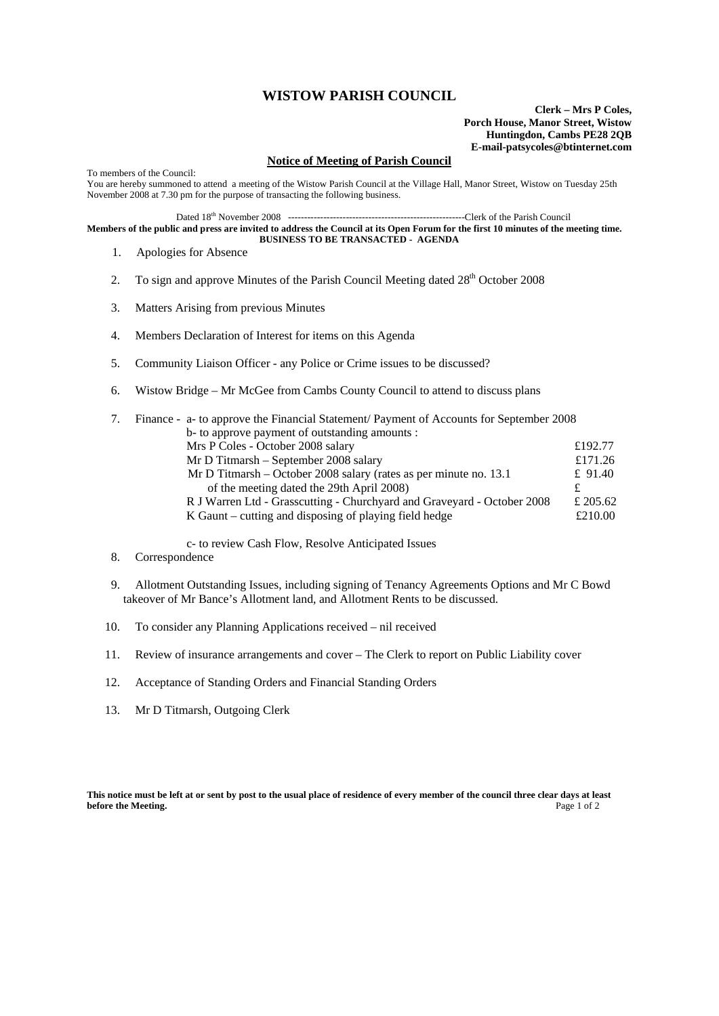## **WISTOW PARISH COUNCIL**

**Clerk – Mrs P Coles, Porch House, Manor Street, Wistow Huntingdon, Cambs PE28 2QB E-mail-patsycoles@btinternet.com**

## **Notice of Meeting of Parish Council**

To members of the Council: You are hereby summoned to attend a meeting of the Wistow Parish Council at the Village Hall, Manor Street, Wistow on Tuesday 25th November 2008 at 7.30 pm for the purpose of transacting the following business.

Dated 18th November 2008 -------------------------------------------------------Clerk of the Parish Council

**Members of the public and press are invited to address the Council at its Open Forum for the first 10 minutes of the meeting time. BUSINESS TO BE TRANSACTED - AGENDA** 

- 1. Apologies for Absence
- 2. To sign and approve Minutes of the Parish Council Meeting dated  $28<sup>th</sup>$  October 2008
- 3. Matters Arising from previous Minutes
- 4. Members Declaration of Interest for items on this Agenda
- 5. Community Liaison Officer any Police or Crime issues to be discussed?
- 6. Wistow Bridge Mr McGee from Cambs County Council to attend to discuss plans

|  | Finance - a- to approve the Financial Statement/Payment of Accounts for September 2008 |           |  |
|--|----------------------------------------------------------------------------------------|-----------|--|
|  | b- to approve payment of outstanding amounts :                                         |           |  |
|  | Mrs P Coles - October 2008 salary                                                      | £192.77   |  |
|  | Mr D Titmarsh – September 2008 salary                                                  | £171.26   |  |
|  | Mr D Titmarsh – October 2008 salary (rates as per minute no. 13.1)                     | £ $91.40$ |  |
|  | of the meeting dated the 29th April 2008)                                              |           |  |
|  | R J Warren Ltd - Grasscutting - Churchyard and Graveyard - October 2008                | £ 205.62  |  |
|  | K Gaunt – cutting and disposing of playing field hedge                                 | £210.00   |  |

c- to review Cash Flow, Resolve Anticipated Issues

- 8. Correspondence
- 9. Allotment Outstanding Issues, including signing of Tenancy Agreements Options and Mr C Bowd takeover of Mr Bance's Allotment land, and Allotment Rents to be discussed.
- 10. To consider any Planning Applications received nil received
- 11. Review of insurance arrangements and cover The Clerk to report on Public Liability cover
- 12. Acceptance of Standing Orders and Financial Standing Orders
- 13. Mr D Titmarsh, Outgoing Clerk

**This notice must be left at or sent by post to the usual place of residence of every member of the council three clear days at least before the Meeting.** Page 1 of 2 **before the Meeting.**